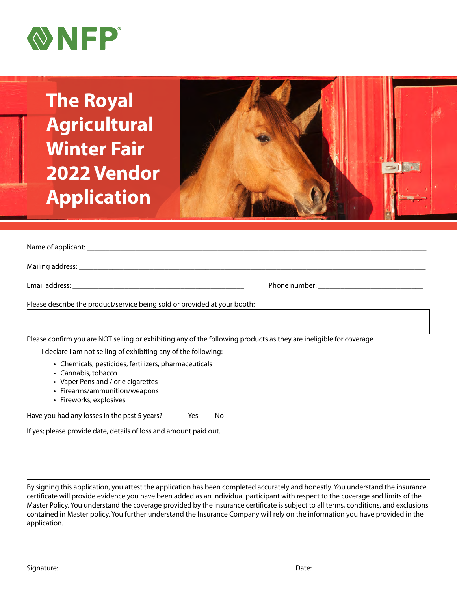

**The Royal Agricultural Winter Fair 2022 Vendor Application**



Name of applicant: \_\_\_\_\_\_\_\_\_\_\_\_\_\_\_\_\_\_\_\_\_\_\_\_\_\_\_\_\_\_\_\_\_\_\_\_\_\_\_\_\_\_\_\_\_\_\_\_\_\_\_\_\_\_\_\_\_\_\_\_\_\_\_\_\_\_\_\_\_\_\_\_\_\_\_\_\_\_\_\_\_\_\_\_\_\_\_\_\_\_\_

Mailing address: \_\_\_\_\_\_\_\_\_\_\_\_\_\_\_\_\_\_\_\_\_\_\_\_\_\_\_\_\_\_\_\_\_\_\_\_\_\_\_\_\_\_\_\_\_\_\_\_\_\_\_\_\_\_\_\_\_\_\_\_\_\_\_\_\_\_\_\_\_\_\_\_\_\_\_\_\_\_\_\_\_\_\_\_\_\_\_\_\_\_\_\_\_

Email address: \_\_\_\_\_\_\_\_\_\_\_\_\_\_\_\_\_\_\_\_\_\_\_\_\_\_\_\_\_\_\_\_\_\_\_\_\_\_\_\_\_\_\_\_\_\_ Phone number: \_\_\_\_\_\_\_\_\_\_\_\_\_\_\_\_\_\_\_\_\_\_\_\_\_\_\_\_

Please describe the product/service being sold or provided at your booth:

Please confirm you are NOT selling or exhibiting any of the following products as they are ineligible for coverage.

I declare I am not selling of exhibiting any of the following:

- Chemicals, pesticides, fertilizers, pharmaceuticals
- Cannabis, tobacco
- Vaper Pens and / or e cigarettes
- Firearms/ammunition/weapons
- Fireworks, explosives

Have you had any losses in the past 5 years? Yes No

If yes; please provide date, details of loss and amount paid out.

By signing this application, you attest the application has been completed accurately and honestly. You understand the insurance certificate will provide evidence you have been added as an individual participant with respect to the coverage and limits of the Master Policy. You understand the coverage provided by the insurance certificate is subject to all terms, conditions, and exclusions contained in Master policy. You further understand the Insurance Company will rely on the information you have provided in the application.